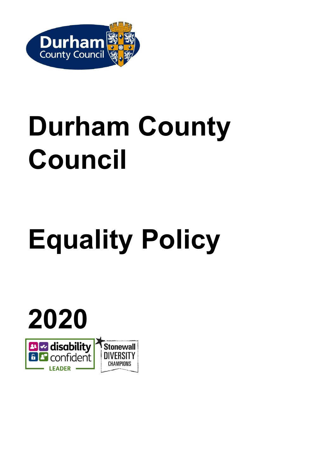

# **Durham County Council**

# **Equality Policy**

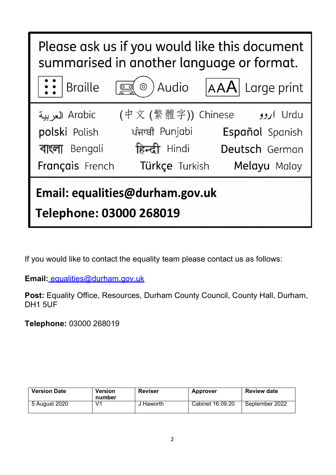

If you would like to contact the equality team please contact us as follows:

**Email:** [equalities@durham.gov.uk](mailto:equalities@durham.gov.uk)

Post: Equality Office, Resources, Durham County Council, County Hall, Durham, DH1 5UF

**Telephone:** 03000 268019

| <b>Version Date</b> | Version<br>number | <b>Reviser</b> | <b>Approver</b>  | <b>Review date</b> |
|---------------------|-------------------|----------------|------------------|--------------------|
| 5 August 2020       | V                 | J Haworth      | Cabinet 16,09,20 | September 2022     |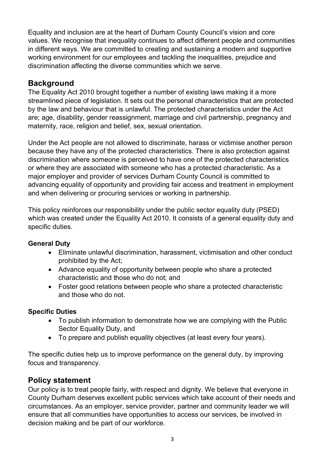Equality and inclusion are at the heart of Durham County Council's vision and core values. We recognise that inequality continues to affect different people and communities in different ways. We are committed to creating and sustaining a modern and supportive working environment for our employees and tackling the inequalities, prejudice and discrimination affecting the diverse communities which we serve.

# **Background**

The Equality Act 2010 brought together a number of existing laws making it a more streamlined piece of legislation. It sets out the personal characteristics that are protected by the law and behaviour that is unlawful. The protected characteristics under the Act are; age, disability, gender reassignment, marriage and civil partnership, pregnancy and maternity, race, religion and belief, sex, sexual orientation.

Under the Act people are not allowed to discriminate, harass or victimise another person because they have any of the protected characteristics. There is also protection against discrimination where someone is perceived to have one of the protected characteristics or where they are associated with someone who has a protected characteristic. As a major employer and provider of services Durham County Council is committed to advancing equality of opportunity and providing fair access and treatment in employment and when delivering or procuring services or working in partnership.

This policy reinforces our responsibility under the public sector equality duty (PSED) which was created under the Equality Act 2010. It consists of a general equality duty and specific duties.

#### **General Duty**

- Eliminate unlawful discrimination, harassment, victimisation and other conduct prohibited by the Act;
- Advance equality of opportunity between people who share a protected characteristic and those who do not; and
- Foster good relations between people who share a protected characteristic and those who do not.

#### **Specific Duties**

- To publish information to demonstrate how we are complying with the Public Sector Equality Duty, and
- To prepare and publish equality objectives (at least every four years).

The specific duties help us to improve performance on the general duty, by improving focus and transparency.

# **Policy statement**

Our policy is to treat people fairly, with respect and dignity. We believe that everyone in County Durham deserves excellent public services which take account of their needs and circumstances. As an employer, service provider, partner and community leader we will ensure that all communities have opportunities to access our services, be involved in decision making and be part of our workforce.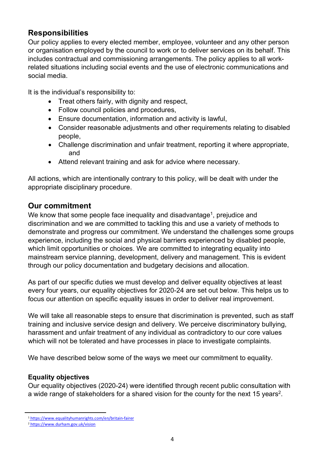# **Responsibilities**

Our policy applies to every elected member, employee, volunteer and any other person or organisation employed by the council to work or to deliver services on its behalf. This includes contractual and commissioning arrangements. The policy applies to all workrelated situations including social events and the use of electronic communications and social media.

It is the individual's responsibility to:

- Treat others fairly, with dignity and respect,
- Follow council policies and procedures,
- Ensure documentation, information and activity is lawful,
- Consider reasonable adjustments and other requirements relating to disabled people,
- Challenge discrimination and unfair treatment, reporting it where appropriate, and
- Attend relevant training and ask for advice where necessary.

All actions, which are intentionally contrary to this policy, will be dealt with under the appropriate disciplinary procedure.

# **Our commitment**

We know that some people face inequality and disadvantage<sup>1</sup>, prejudice and discrimination and we are committed to tackling this and use a variety of methods to demonstrate and progress our commitment. We understand the challenges some groups experience, including the social and physical barriers experienced by disabled people, which limit opportunities or choices. We are committed to integrating equality into mainstream service planning, development, delivery and management. This is evident through our policy documentation and budgetary decisions and allocation.

As part of our specific duties we must develop and deliver equality objectives at least every four years, our equality objectives for 2020-24 are set out below. This helps us to focus our attention on specific equality issues in order to deliver real improvement.

We will take all reasonable steps to ensure that discrimination is prevented, such as staff training and inclusive service design and delivery. We perceive discriminatory bullying, harassment and unfair treatment of any individual as contradictory to our core values which will not be tolerated and have processes in place to investigate complaints.

We have described below some of the ways we meet our commitment to equality.

#### **Equality objectives**

Our equality objectives (2020-24) were identified through recent public consultation with a wide range of stakeholders for a shared vision for the county for the next 15 years<sup>2</sup>.

<sup>1</sup> https:/[/www.equalityhumanrights.com/en/britain-fairer](http://www.equalityhumanrights.com/en/britain-fairer)

<sup>2</sup> https:/[/www.durham.gov.uk/vision](http://www.durham.gov.uk/vision)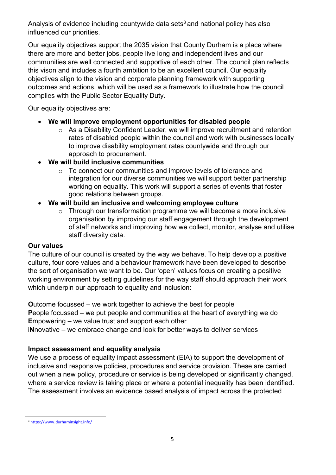Analysis of evidence including countywide data sets<sup>3</sup> and national policy has also influenced our priorities.

Our equality objectives support the 2035 vision that County Durham is a place where there are more and better jobs, people live long and independent lives and our communities are well connected and supportive of each other. The council plan reflects this vison and includes a fourth ambition to be an excellent council. Our equality objectives align to the vision and corporate planning framework with supporting outcomes and actions, which will be used as a framework to illustrate how the council complies with the Public Sector Equality Duty.

Our equality objectives are:

- **We will improve employment opportunities for disabled people**
	- o As a Disability Confident Leader, we will improve recruitment and retention rates of disabled people within the council and work with businesses locally to improve disability employment rates countywide and through our approach to procurement.
- **We will build inclusive communities**
	- o To connect our communities and improve levels of tolerance and integration for our diverse communities we will support better partnership working on equality. This work will support a series of events that foster good relations between groups.

#### • **We will build an inclusive and welcoming employee culture**

o Through our transformation programme we will become a more inclusive organisation by improving our staff engagement through the development of staff networks and improving how we collect, monitor, analyse and utilise staff diversity data.

#### **Our values**

The culture of our council is created by the way we behave. To help develop a positive culture, four core values and a behaviour framework have been developed to describe the sort of organisation we want to be. Our 'open' values focus on creating a positive working environment by setting guidelines for the way staff should approach their work which underpin our approach to equality and inclusion:

**O**utcome focussed – we work together to achieve the best for people

**P**eople focussed – we put people and communities at the heart of everything we do **E**mpowering – we value trust and support each other

i**N**novative – we embrace change and look for better ways to deliver services

#### **Impact assessment and equality analysis**

We use a process of equality impact assessment (EIA) to support the development of inclusive and responsive policies, procedures and service provision. These are carried out when a new policy, procedure or service is being developed or significantly changed, where a service review is taking place or where a potential inequality has been identified. The assessment involves an evidence based analysis of impact across the protected

<sup>3</sup> https:/[/www.durhaminsight.info/](http://www.durhaminsight.info/)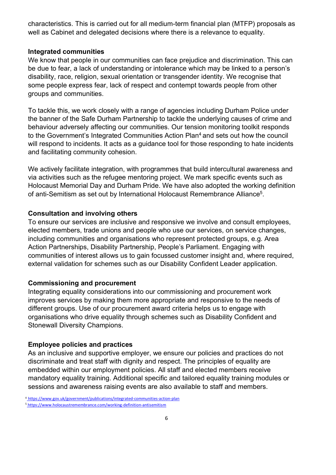characteristics. This is carried out for all medium-term financial plan (MTFP) proposals as well as Cabinet and delegated decisions where there is a relevance to equality.

#### **Integrated communities**

We know that people in our communities can face prejudice and discrimination. This can be due to fear, a lack of understanding or intolerance which may be linked to a person's disability, race, religion, sexual orientation or transgender identity. We recognise that some people express fear, lack of respect and contempt towards people from other groups and communities.

To tackle this, we work closely with a range of agencies including Durham Police under the banner of the Safe Durham Partnership to tackle the underlying causes of crime and behaviour adversely affecting our communities. Our tension monitoring toolkit responds to the Government's Integrated Communities Action Plan<sup>4</sup> and sets out how the council will respond to incidents. It acts as a guidance tool for those responding to hate incidents and facilitating community cohesion.

We actively facilitate integration, with programmes that build intercultural awareness and via activities such as the refugee mentoring project. We mark specific events such as Holocaust Memorial Day and Durham Pride. We have also adopted the working definition of anti-Semitism as set out by International Holocaust Remembrance Alliance<sup>5</sup>.

#### **Consultation and involving others**

To ensure our services are inclusive and responsive we involve and consult employees, elected members, trade unions and people who use our services, on service changes, including communities and organisations who represent protected groups, e.g. Area Action Partnerships, Disability Partnership, People's Parliament. Engaging with communities of interest allows us to gain focussed customer insight and, where required, external validation for schemes such as our Disability Confident Leader application.

#### **Commissioning and procurement**

Integrating equality considerations into our commissioning and procurement work improves services by making them more appropriate and responsive to the needs of different groups. Use of our procurement award criteria helps us to engage with organisations who drive equality through schemes such as Disability Confident and Stonewall Diversity Champions.

#### **Employee policies and practices**

As an inclusive and supportive employer, we ensure our policies and practices do not discriminate and treat staff with dignity and respect. The principles of equality are embedded within our employment policies. All staff and elected members receive mandatory equality training. Additional specific and tailored equality training modules or sessions and awareness raising events are also available to staff and members.

<sup>4</sup> https:/[/www.gov.uk/government/publications/integrated-communities-action-plan](http://www.gov.uk/government/publications/integrated-communities-action-plan) 

<sup>5</sup> https:/[/www.holocaustremembrance.com/working-definition-antisemitism](http://www.holocaustremembrance.com/working-definition-antisemitism)